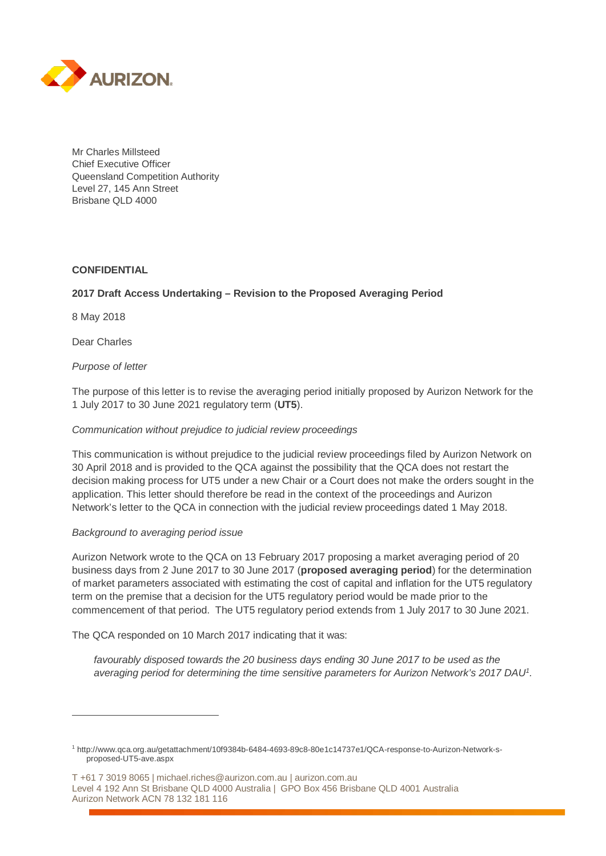

Mr Charles Millsteed Chief Executive Officer Queensland Competition Authority Level 27, 145 Ann Street Brisbane QLD 4000

## **CONFIDENTIAL**

## **2017 Draft Access Undertaking – Revision to the Proposed Averaging Period**

8 May 2018

Dear Charles

 $\overline{a}$ 

*Purpose of letter*

The purpose of this letter is to revise the averaging period initially proposed by Aurizon Network for the 1 July 2017 to 30 June 2021 regulatory term (**UT5**).

## *Communication without prejudice to judicial review proceedings*

This communication is without prejudice to the judicial review proceedings filed by Aurizon Network on 30 April 2018 and is provided to the QCA against the possibility that the QCA does not restart the decision making process for UT5 under a new Chair or a Court does not make the orders sought in the application. This letter should therefore be read in the context of the proceedings and Aurizon Network's letter to the QCA in connection with the judicial review proceedings dated 1 May 2018.

## *Background to averaging period issue*

Aurizon Network wrote to the QCA on 13 February 2017 proposing a market averaging period of 20 business days from 2 June 2017 to 30 June 2017 (**proposed averaging period**) for the determination of market parameters associated with estimating the cost of capital and inflation for the UT5 regulatory term on the premise that a decision for the UT5 regulatory period would be made prior to the commencement of that period. The UT5 regulatory period extends from 1 July 2017 to 30 June 2021.

The QCA responded on 10 March 2017 indicating that it was:

*favourably disposed towards the 20 business days ending 30 June 2017 to be used as the averaging period for determining the time sensitive parameters for Aurizon Network's 2017 DAU1.*

T +61 7 3019 8065 | michael.riches@aurizon.com.au | aurizon.com.au Level 4 192 Ann St Brisbane QLD 4000 Australia | GPO Box 456 Brisbane QLD 4001 Australia Aurizon Network ACN 78 132 181 116

<sup>1</sup> http://www.qca.org.au/getattachment/10f9384b-6484-4693-89c8-80e1c14737e1/QCA-response-to-Aurizon-Network-sproposed-UT5-ave.aspx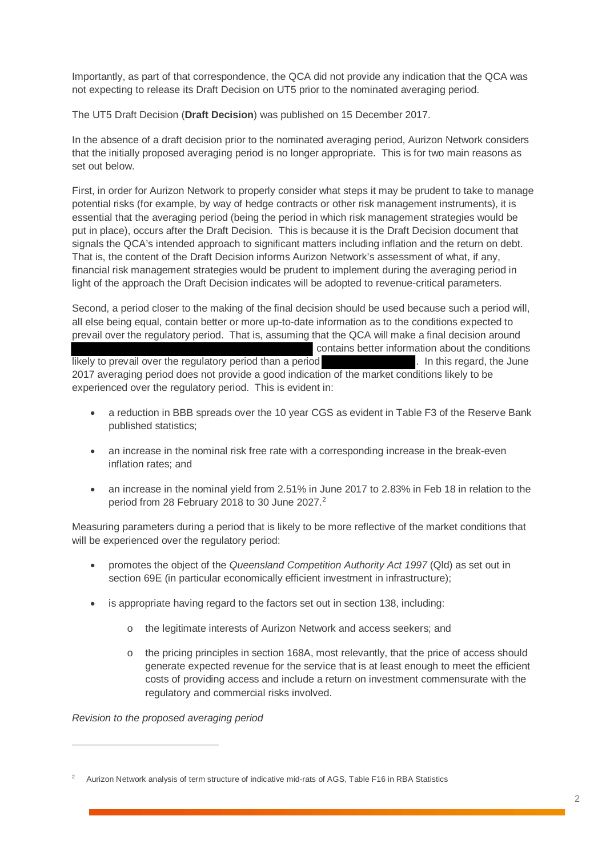Importantly, as part of that correspondence, the QCA did not provide any indication that the QCA was not expecting to release its Draft Decision on UT5 prior to the nominated averaging period.

The UT5 Draft Decision (**Draft Decision**) was published on 15 December 2017.

In the absence of a draft decision prior to the nominated averaging period, Aurizon Network considers that the initially proposed averaging period is no longer appropriate. This is for two main reasons as set out below.

First, in order for Aurizon Network to properly consider what steps it may be prudent to take to manage potential risks (for example, by way of hedge contracts or other risk management instruments), it is essential that the averaging period (being the period in which risk management strategies would be put in place), occurs after the Draft Decision. This is because it is the Draft Decision document that signals the QCA's intended approach to significant matters including inflation and the return on debt. That is, the content of the Draft Decision informs Aurizon Network's assessment of what, if any, financial risk management strategies would be prudent to implement during the averaging period in light of the approach the Draft Decision indicates will be adopted to revenue-critical parameters.

Second, a period closer to the making of the final decision should be used because such a period will, all else being equal, contain better or more up-to-date information as to the conditions expected to prevail over the regulatory period. That is, assuming that the QCA will make a final decision around contains better information about the conditions likely to prevail over the regulatory period than a period . In this regard, the June 2017 averaging period does not provide a good indication of the market conditions likely to be experienced over the regulatory period. This is evident in:

- a reduction in BBB spreads over the 10 year CGS as evident in Table F3 of the Reserve Bank published statistics;
- an increase in the nominal risk free rate with a corresponding increase in the break-even inflation rates; and
- an increase in the nominal yield from 2.51% in June 2017 to 2.83% in Feb 18 in relation to the period from 28 February 2018 to 30 June 2027. 2

Measuring parameters during a period that is likely to be more reflective of the market conditions that will be experienced over the regulatory period:

- promotes the object of the *Queensland Competition Authority Act 1997* (Qld) as set out in section 69E (in particular economically efficient investment in infrastructure);
- is appropriate having regard to the factors set out in section 138, including:
	- o the legitimate interests of Aurizon Network and access seekers; and
	- o the pricing principles in section 168A, most relevantly, that the price of access should generate expected revenue for the service that is at least enough to meet the efficient costs of providing access and include a return on investment commensurate with the regulatory and commercial risks involved.

*Revision to the proposed averaging period*

 $\overline{a}$ 

<sup>2</sup> Aurizon Network analysis of term structure of indicative mid-rats of AGS, Table F16 in RBA Statistics